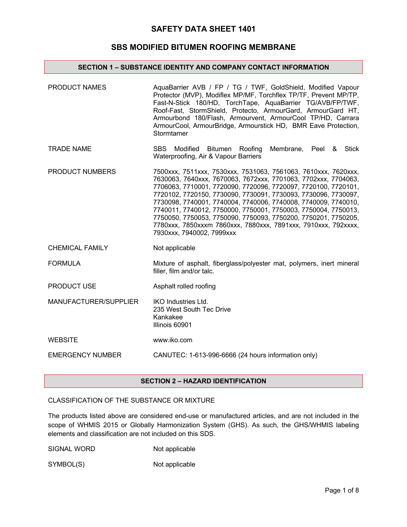### **SBS MODIFIED BITUMEN ROOFING MEMBRANE**

#### **SECTION 1 – SUBSTANCE IDENTITY AND COMPANY CONTACT INFORMATION**

| <b>PRODUCT NAMES</b>    | AquaBarrier AVB / FP / TG / TWF, GoldShield, Modified Vapour<br>Protector (MVP), Modiflex MP/MF, Torchflex TP/TF, Prevent MP/TP,<br>Fast-N-Stick 180/HD, TorchTape, AquaBarrier TG/AVB/FP/TWF,<br>Roof-Fast, StormShield, Protecto, ArmourGard, ArmourGard HT,<br>Armourbond 180/Flash, Armourvent, ArmourCool TP/HD, Carrara<br>ArmourCool, ArmourBridge, Armourstick HD, BMR Eave Protection,<br>Stormtamer                                                                                                                                                             |
|-------------------------|---------------------------------------------------------------------------------------------------------------------------------------------------------------------------------------------------------------------------------------------------------------------------------------------------------------------------------------------------------------------------------------------------------------------------------------------------------------------------------------------------------------------------------------------------------------------------|
| <b>TRADE NAME</b>       | <b>SBS</b><br>Modified Bitumen Roofing<br>Membrane, Peel &<br>Stick<br>Waterproofing, Air & Vapour Barriers                                                                                                                                                                                                                                                                                                                                                                                                                                                               |
| PRODUCT NUMBERS         | 7500xxx, 7511xxx, 7530xxx, 7531063, 7561063, 7610xxx, 7620xxx,<br>7630063, 7640xxx, 7670063, 7672xxx, 7701063, 7702xxx, 7704063,<br>7706063, 7710001, 7720090, 7720096, 7720097, 7720100, 7720101,<br>7720102, 7720150, 7730090, 7730091, 7730093, 7730096, 7730097,<br>7730098, 7740001, 7740004, 7740006, 7740008, 7740009, 7740010,<br>7740011, 7740012, 7750000, 7750001, 7750003, 7750004, 7750013,<br>7750050, 7750053, 7750090, 7750093, 7750200, 7750201, 7750205,<br>7780xxx, 7850xxxm 7860xxx, 7880xxx, 7891xxx, 7910xxx, 792xxxx,<br>7930xxx, 7940002, 7999xxx |
| <b>CHEMICAL FAMILY</b>  | Not applicable                                                                                                                                                                                                                                                                                                                                                                                                                                                                                                                                                            |
| <b>FORMULA</b>          | Mixture of asphalt, fiberglass/polyester mat, polymers, inert mineral<br>filler, film and/or talc.                                                                                                                                                                                                                                                                                                                                                                                                                                                                        |
| <b>PRODUCT USE</b>      | Asphalt rolled roofing                                                                                                                                                                                                                                                                                                                                                                                                                                                                                                                                                    |
| MANUFACTURER/SUPPLIER   | <b>IKO Industries Ltd.</b><br>235 West South Tec Drive<br>Kankakee<br>Illinois 60901                                                                                                                                                                                                                                                                                                                                                                                                                                                                                      |
| <b>WEBSITE</b>          | www.iko.com                                                                                                                                                                                                                                                                                                                                                                                                                                                                                                                                                               |
| <b>EMERGENCY NUMBER</b> | CANUTEC: 1-613-996-6666 (24 hours information only)                                                                                                                                                                                                                                                                                                                                                                                                                                                                                                                       |

### **SECTION 2 – HAZARD IDENTIFICATION**

## CLASSIFICATION OF THE SUBSTANCE OR MIXTURE

The products listed above are considered end-use or manufactured articles, and are not included in the scope of WHMIS 2015 or Globally Harmonization System (GHS). As such, the GHS/WHMIS labeling elements and classification are not included on this SDS.

| SIGNAL WORD | Not applicable |
|-------------|----------------|
|-------------|----------------|

SYMBOL(S) Not applicable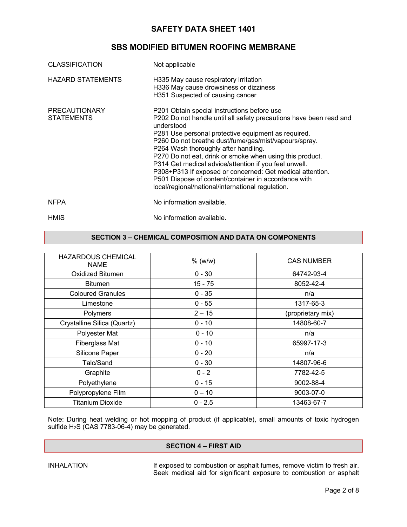# **SBS MODIFIED BITUMEN ROOFING MEMBRANE**

| <b>CLASSIFICATION</b>                     | Not applicable                                                                                                                                                                                                                                                                                                                                                                                                                                                                                                                                                                         |
|-------------------------------------------|----------------------------------------------------------------------------------------------------------------------------------------------------------------------------------------------------------------------------------------------------------------------------------------------------------------------------------------------------------------------------------------------------------------------------------------------------------------------------------------------------------------------------------------------------------------------------------------|
| <b>HAZARD STATEMENTS</b>                  | H335 May cause respiratory irritation<br>H336 May cause drowsiness or dizziness<br>H351 Suspected of causing cancer                                                                                                                                                                                                                                                                                                                                                                                                                                                                    |
| <b>PRECAUTIONARY</b><br><b>STATEMENTS</b> | P201 Obtain special instructions before use<br>P202 Do not handle until all safety precautions have been read and<br>understood<br>P281 Use personal protective equipment as required.<br>P260 Do not breathe dust/fume/gas/mist/vapours/spray.<br>P264 Wash thoroughly after handling.<br>P270 Do not eat, drink or smoke when using this product.<br>P314 Get medical advice/attention if you feel unwell.<br>P308+P313 If exposed or concerned: Get medical attention.<br>P501 Dispose of content/container in accordance with<br>local/regional/national/international regulation. |
| <b>NFPA</b>                               | No information available.                                                                                                                                                                                                                                                                                                                                                                                                                                                                                                                                                              |
| <b>HMIS</b>                               | No information available.                                                                                                                                                                                                                                                                                                                                                                                                                                                                                                                                                              |

#### **SECTION 3 – CHEMICAL COMPOSITION AND DATA ON COMPONENTS**

| <b>HAZARDOUS CHEMICAL</b><br><b>NAME</b> | % (w/w)   | <b>CAS NUMBER</b> |
|------------------------------------------|-----------|-------------------|
| Oxidized Bitumen                         | $0 - 30$  | 64742-93-4        |
| <b>Bitumen</b>                           | 15 - 75   | 8052-42-4         |
| <b>Coloured Granules</b>                 | $0 - 35$  | n/a               |
| Limestone                                | $0 - 55$  | 1317-65-3         |
| Polymers                                 | $2 - 15$  | (proprietary mix) |
| Crystalline Silica (Quartz)              | $0 - 10$  | 14808-60-7        |
| Polyester Mat                            | $0 - 10$  | n/a               |
| Fiberglass Mat                           | $0 - 10$  | 65997-17-3        |
| Silicone Paper                           | $0 - 20$  | n/a               |
| Talc/Sand                                | $0 - 30$  | 14807-96-6        |
| Graphite                                 | $0 - 2$   | 7782-42-5         |
| Polyethylene                             | $0 - 15$  | 9002-88-4         |
| Polypropylene Film                       | $0 - 10$  | 9003-07-0         |
| Titanium Dioxide                         | $0 - 2.5$ | 13463-67-7        |
|                                          |           |                   |

Note: During heat welding or hot mopping of product (if applicable), small amounts of toxic hydrogen sulfide H2S (CAS 7783-06-4) may be generated.

### **SECTION 4 – FIRST AID**

INHALATION If exposed to combustion or asphalt fumes, remove victim to fresh air. Seek medical aid for significant exposure to combustion or asphalt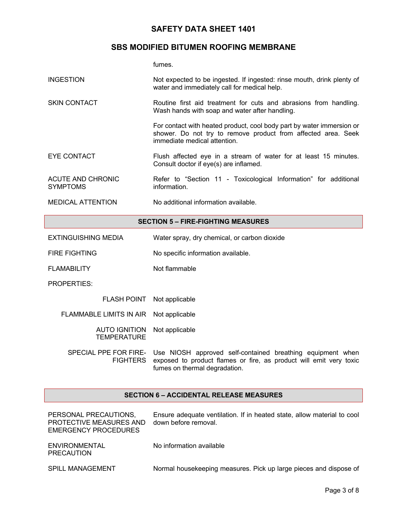# **SBS MODIFIED BITUMEN ROOFING MEMBRANE**

fumes.

| <b>INGESTION</b>                            | Not expected to be ingested. If ingested: rinse mouth, drink plenty of<br>water and immediately call for medical help.                                                 |  |
|---------------------------------------------|------------------------------------------------------------------------------------------------------------------------------------------------------------------------|--|
| <b>SKIN CONTACT</b>                         | Routine first aid treatment for cuts and abrasions from handling.<br>Wash hands with soap and water after handling.                                                    |  |
|                                             | For contact with heated product, cool body part by water immersion or<br>shower. Do not try to remove product from affected area. Seek<br>immediate medical attention. |  |
| <b>EYE CONTACT</b>                          | Flush affected eye in a stream of water for at least 15 minutes.<br>Consult doctor if eye(s) are inflamed.                                                             |  |
| <b>ACUTE AND CHRONIC</b><br><b>SYMPTOMS</b> | Refer to "Section 11 - Toxicological Information" for additional<br>information.                                                                                       |  |
| <b>MEDICAL ATTENTION</b>                    | No additional information available.                                                                                                                                   |  |
| <b>SECTION 5 - FIRE-FIGHTING MEASURES</b>   |                                                                                                                                                                        |  |
| <b>EXTINGUISHING MEDIA</b>                  | Water spray, dry chemical, or carbon dioxide                                                                                                                           |  |
| <b>FIRE FIGHTING</b>                        | No specific information available.                                                                                                                                     |  |
| <b>FLAMABILITY</b>                          | Not flammable                                                                                                                                                          |  |
| PROPERTIES:                                 |                                                                                                                                                                        |  |
| <b>FLASH POINT</b>                          | Not applicable                                                                                                                                                         |  |
| <b>FLAMMABLE LIMITS IN AIR</b>              | Not applicable                                                                                                                                                         |  |
| <b>AUTO IGNITION</b><br><b>TEMPERATURE</b>  | Not applicable                                                                                                                                                         |  |
| SPECIAL PPE FOR FIRE-<br><b>FIGHTERS</b>    | Use NIOSH approved self-contained breathing equipment when<br>exposed to product flames or fire, as product will emit very toxic<br>fumes on thermal degradation.      |  |

#### **SECTION 6 – ACCIDENTAL RELEASE MEASURES**

| PERSONAL PRECAUTIONS,<br>PROTECTIVE MEASURES AND<br>EMERGENCY PROCEDURES | Ensure adequate ventilation. If in heated state, allow material to cool<br>down before removal. |
|--------------------------------------------------------------------------|-------------------------------------------------------------------------------------------------|
| ENVIRONMENTAL<br>PRECAUTION                                              | No information available                                                                        |
| <b>SPILL MANAGEMENT</b>                                                  | Normal housekeeping measures. Pick up large pieces and dispose of                               |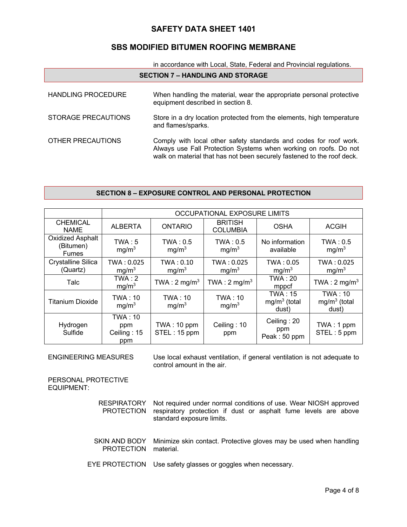# **SBS MODIFIED BITUMEN ROOFING MEMBRANE**

| in accordance with Local, State, Federal and Provincial regulations. |                                                                                                                                                                                                                 |  |
|----------------------------------------------------------------------|-----------------------------------------------------------------------------------------------------------------------------------------------------------------------------------------------------------------|--|
| <b>SECTION 7 - HANDLING AND STORAGE</b>                              |                                                                                                                                                                                                                 |  |
| <b>HANDLING PROCEDURE</b>                                            | When handling the material, wear the appropriate personal protective<br>equipment described in section 8.                                                                                                       |  |
| STORAGE PRECAUTIONS                                                  | Store in a dry location protected from the elements, high temperature<br>and flames/sparks.                                                                                                                     |  |
| OTHER PRECAUTIONS                                                    | Comply with local other safety standards and codes for roof work.<br>Always use Fall Protection Systems when working on roofs. Do not<br>walk on material that has not been securely fastened to the roof deck. |  |

#### **SECTION 8 – EXPOSURE CONTROL AND PERSONAL PROTECTION**

|                                                      | OCCUPATIONAL EXPOSURE LIMITS                |                                |                                     |                                           |                                    |
|------------------------------------------------------|---------------------------------------------|--------------------------------|-------------------------------------|-------------------------------------------|------------------------------------|
| <b>CHEMICAL</b><br><b>NAME</b>                       | <b>ALBERTA</b>                              | <b>ONTARIO</b>                 | <b>BRITISH</b><br><b>COLUMBIA</b>   | <b>OSHA</b>                               | <b>ACGIH</b>                       |
| <b>Oxidized Asphalt</b><br>(Bitumen)<br><b>Fumes</b> | TWA:5<br>mg/m <sup>3</sup>                  | TWA: 0.5<br>mg/m <sup>3</sup>  | TWA: 0.5<br>mg/m <sup>3</sup>       | No information<br>available               | TWA: 0.5<br>mg/m <sup>3</sup>      |
| Crystalline Silica<br>(Quartz)                       | TWA: 0.025<br>mg/m <sup>3</sup>             | TWA: 0.10<br>mg/m <sup>3</sup> | TWA: 0.025<br>mg/m <sup>3</sup>     | TWA: 0.05<br>mg/m <sup>3</sup>            | TWA: 0.025<br>mg/m <sup>3</sup>    |
| Talc                                                 | TWA:2<br>mg/m <sup>3</sup>                  | TWA: $2 \text{ mg/m}^3$        | TWA : $2 \text{ mg/m}^3$            | <b>TWA: 20</b><br>mppcf                   | TWA : $2 \text{ mg/m}^3$           |
| <b>Titanium Dioxide</b>                              | <b>TWA: 10</b><br>mg/m <sup>3</sup>         | TWA: 10<br>mg/m <sup>3</sup>   | <b>TWA: 10</b><br>mg/m <sup>3</sup> | <b>TWA: 15</b><br>$mg/m3$ (total<br>dust) | TWA: 10<br>$mg/m3$ (total<br>dust) |
| Hydrogen<br>Sulfide                                  | <b>TWA: 10</b><br>ppm<br>Ceiling: 15<br>ppm | TWA: 10 ppm<br>STEL: 15 ppm    | Ceiling: 10<br>ppm                  | Ceiling: 20<br>ppm<br>Peak: 50 ppm        | TWA: 1 ppm<br>STEL: 5 ppm          |

ENGINEERING MEASURES Use local exhaust ventilation, if general ventilation is not adequate to control amount in the air.

PERSONAL PROTECTIVE EQUIPMENT:

- RESPIRATORY PROTECTION respiratory protection if dust or asphalt fume levels are above Not required under normal conditions of use. Wear NIOSH approved standard exposure limits.
- SKIN AND BODY PROTECTION material. Minimize skin contact. Protective gloves may be used when handling
- EYE PROTECTION Use safety glasses or goggles when necessary.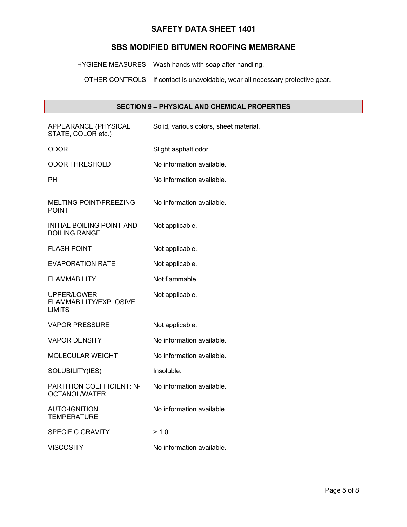### **SBS MODIFIED BITUMEN ROOFING MEMBRANE**

HYGIENE MEASURES Wash hands with soap after handling.

OTHER CONTROLS If contact is unavoidable, wear all necessary protective gear.

# **SECTION 9 – PHYSICAL AND CHEMICAL PROPERTIES**

| APPEARANCE (PHYSICAL<br>STATE, COLOR etc.)             | Solid, various colors, sheet material. |
|--------------------------------------------------------|----------------------------------------|
| ODOR                                                   | Slight asphalt odor.                   |
| <b>ODOR THRESHOLD</b>                                  | No information available.              |
| PН                                                     | No information available.              |
| <b>MELTING POINT/FREEZING</b><br><b>POINT</b>          | No information available.              |
| INITIAL BOILING POINT AND<br><b>BOILING RANGE</b>      | Not applicable.                        |
| <b>FLASH POINT</b>                                     | Not applicable.                        |
| <b>EVAPORATION RATE</b>                                | Not applicable.                        |
| <b>FLAMMABILITY</b>                                    | Not flammable.                         |
| UPPER/LOWER<br>FLAMMABILITY/EXPLOSIVE<br><b>LIMITS</b> | Not applicable.                        |
| VAPOR PRESSURE                                         | Not applicable.                        |
| <b>VAPOR DENSITY</b>                                   | No information available.              |
| <b>MOLECULAR WEIGHT</b>                                | No information available.              |
| SOLUBILITY(IES)                                        | Insoluble.                             |
| PARTITION COEFFICIENT: N-<br><b>OCTANOL/WATER</b>      | No information available.              |
| AUTO-IGNITION<br><b>TEMPERATURE</b>                    | No information available.              |
| <b>SPECIFIC GRAVITY</b>                                | > 1.0                                  |
| <b>VISCOSITY</b>                                       | No information available.              |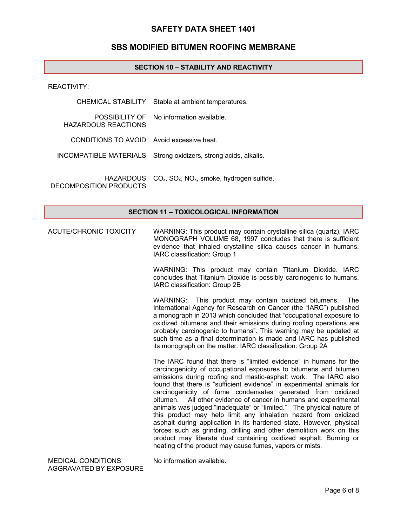#### **SBS MODIFIED BITUMEN ROOFING MEMBRANE**

#### **SECTION 10 – STABILITY AND REACTIVITY**

REACTIVITY:

|                                            | CHEMICAL STABILITY Stable at ambient temperatures.               |
|--------------------------------------------|------------------------------------------------------------------|
| HAZARDOUS REACTIONS                        | POSSIBILITY OF No information available.                         |
| CONDITIONS TO AVOID Avoid excessive heat.  |                                                                  |
|                                            | INCOMPATIBLE MATERIALS Strong oxidizers, strong acids, alkalis.  |
| <b>HAZARDOUS</b><br>DECOMPOSITION PRODUCTS | $CO_{x}$ , $SO_{x}$ , NO <sub>x</sub> , smoke, hydrogen sulfide. |

#### **SECTION 11 – TOXICOLOGICAL INFORMATION**

ACUTE/CHRONIC TOXICITY WARNING: This product may contain crystalline silica (quartz). IARC MONOGRAPH VOLUME 68, 1997 concludes that there is sufficient evidence that inhaled crystalline silica causes cancer in humans. IARC classification: Group 1

> WARNING: This product may contain Titanium Dioxide. IARC concludes that Titanium Dioxide is possibly carcinogenic to humans. IARC classification: Group 2B

> WARNING: This product may contain oxidized bitumens. The International Agency for Research on Cancer (the "IARC") published a monograph in 2013 which concluded that "occupational exposure to oxidized bitumens and their emissions during roofing operations are probably carcinogenic to humans". This warning may be updated at such time as a final determination is made and IARC has published its monograph on the matter. IARC classification: Group 2A

> The IARC found that there is "limited evidence" in humans for the carcinogenicity of occupational exposures to bitumens and bitumen emissions during roofing and mastic-asphalt work. The IARC also found that there is "sufficient evidence" in experimental animals for carcinogenicity of fume condensates generated from oxidized bitumen. All other evidence of cancer in humans and experimental animals was judged "inadequate" or "limited." The physical nature of this product may help limit any inhalation hazard from oxidized asphalt during application in its hardened state. However, physical forces such as grinding, drilling and other demolition work on this product may liberate dust containing oxidized asphalt. Burning or heating of the product may cause fumes, vapors or mists.

MEDICAL CONDITIONS AGGRAVATED BY EXPOSURE No information available.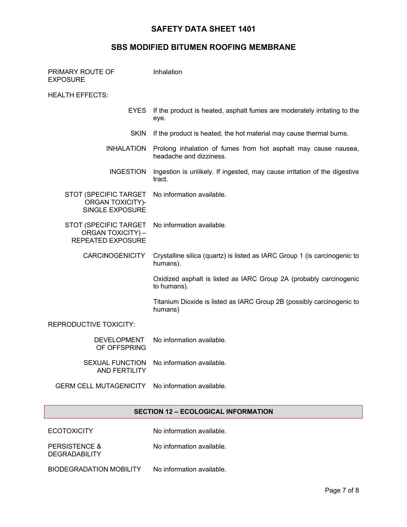## **SBS MODIFIED BITUMEN ROOFING MEMBRANE**

| PRIMARY ROUTE OF<br><b>EXPOSURE</b>                                           | Inhalation                                                                                |
|-------------------------------------------------------------------------------|-------------------------------------------------------------------------------------------|
| HEALTH EFFECTS:                                                               |                                                                                           |
| <b>EYES</b>                                                                   | If the product is heated, asphalt fumes are moderately irritating to the<br>eye.          |
| <b>SKIN</b>                                                                   | If the product is heated, the hot material may cause thermal burns.                       |
| <b>INHALATION</b>                                                             | Prolong inhalation of fumes from hot asphalt may cause nausea,<br>headache and dizziness. |
| <b>INGESTION</b>                                                              | Ingestion is unlikely. If ingested, may cause irritation of the digestive<br>tract.       |
| STOT (SPECIFIC TARGET<br>ORGAN TOXICITY)-<br><b>SINGLE EXPOSURE</b>           | No information available.                                                                 |
| STOT (SPECIFIC TARGET<br><b>ORGAN TOXICITY) -</b><br><b>REPEATED EXPOSURE</b> | No information available.                                                                 |
| <b>CARCINOGENICITY</b>                                                        | Crystalline silica (quartz) is listed as IARC Group 1 (is carcinogenic to<br>humans).     |
|                                                                               | Oxidized asphalt is listed as IARC Group 2A (probably carcinogenic<br>to humans).         |
|                                                                               | Titanium Dioxide is listed as IARC Group 2B (possibly carcinogenic to<br>humans)          |
| REPRODUCTIVE TOXICITY:                                                        |                                                                                           |
| <b>DEVELOPMENT</b><br>OF OFFSPRING                                            | No information available.                                                                 |
| <b>SEXUAL FUNCTION</b><br><b>AND FERTILITY</b>                                | No information available.                                                                 |
| <b>GERM CELL MUTAGENICITY</b>                                                 | No information available.                                                                 |
|                                                                               |                                                                                           |

# **SECTION 12 – ECOLOGICAL INFORMATION**

ECOTOXICITY No information available.

No information available.

PERSISTENCE & DEGRADABILITY

BIODEGRADATION MOBILITY No information available.